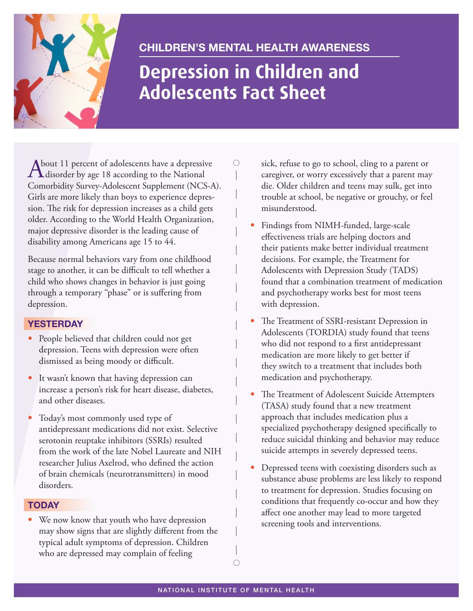

# **Children's Mental health awareness**

# **Depression in Children and Adolescents Fact Sheet**

 $\bigcirc$ 

About 11 percent of adolescents have a depressive<br>
disorder by age 18 according to the National Comorbidity Survey-Adolescent Supplement (NCS-A). Girls are more likely than boys to experience depression. The risk for depression increases as a child gets older. According to the World Health Organization, major depressive disorder is the leading cause of disability among Americans age 15 to 44.

Because normal behaviors vary from one childhood stage to another, it can be difficult to tell whether a child who shows changes in behavior is just going through a temporary "phase" or is suffering from depression.

## **YesterdaY**

- People believed that children could not get depression. Teens with depression were often dismissed as being moody or difficult.
- It wasn't known that having depression can increase a person's risk for heart disease, diabetes, and other diseases.
- Today's most commonly used type of antidepressant medications did not exist. Selective serotonin reuptake inhibitors (SSRIs) resulted from the work of the late Nobel Laureate and NIH researcher Julius Axelrod, who defined the action of brain chemicals (neurotransmitters) in mood disorders.

## **todaY**

• We now know that youth who have depression may show signs that are slightly different from the typical adult symptoms of depression. Children who are depressed may complain of feeling

sick, refuse to go to school, cling to a parent or caregiver, or worry excessively that a parent may die. Older children and teens may sulk, get into trouble at school, be negative or grouchy, or feel misunderstood.

- Findings from NIMH-funded, large-scale effectiveness trials are helping doctors and their patients make better individual treatment decisions. For example, the [Treatment for](http://www.nimh.nih.gov/trials/practical/tads/index.shtml)  [Adolescents with Depression Study \(TADS\)](http://www.nimh.nih.gov/trials/practical/tads/index.shtml)  found that a combination treatment of medication and psychotherapy works best for most teens with depression.
- [The Treatment of SSRI-resistant Depression in](http://www.nimh.nih.gov/trials/practical/tordia/treatment-of-ssri-resistant-depression-in-adolescents-tordia.shtml)  [Adolescents \(TORDIA\)](http://www.nimh.nih.gov/trials/practical/tordia/treatment-of-ssri-resistant-depression-in-adolescents-tordia.shtml) study found that teens who did not respond to a first antidepressant medication are more likely to get better if they switch to a treatment that includes both medication and psychotherapy.
- [The Treatment of Adolescent Suicide Attempters](http://www.nimh.nih.gov/science-news/2009/new-approach-to-reducing-suicide-attempts-among-depressed-teens.shtml)  [\(TASA\)](http://www.nimh.nih.gov/science-news/2009/new-approach-to-reducing-suicide-attempts-among-depressed-teens.shtml) study found that a new treatment approach that includes medication plus a specialized psychotherapy designed specifically to reduce suicidal thinking and behavior may reduce suicide attempts in severely depressed teens.
- Depressed teens with coexisting disorders such as substance abuse problems are less likely to respond to treatment for depression. Studies focusing on conditions that frequently co-occur and how they affect one another may lead to more targeted screening tools and interventions.

 $\bigcirc$